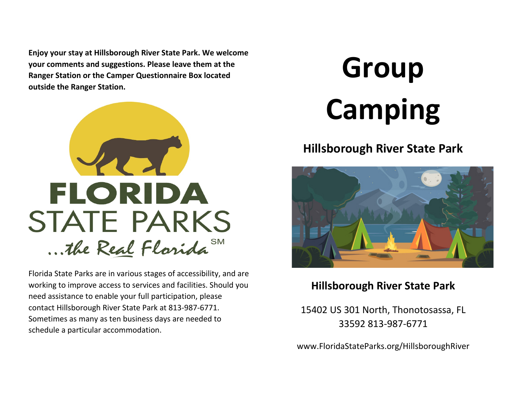**Enjoy your stay at Hillsborough River State Park. We welcome your comments and suggestions. Please leave them at the Ranger Station or the Camper Questionnaire Box located outside the Ranger Station.**



Florida State Parks are in various stages of accessibility, and are working to improve access to services and facilities. Should you need assistance to enable your full participation, please contact Hillsborough River State Park at 813-987-6771. Sometimes as many as ten business days are needed to schedule a particular accommodation.

# **Group Camping**

## **Hillsborough River State Park**



## **Hillsborough River State Park**

15402 US 301 North, Thonotosassa, FL 33592 813-987-6771

www.FloridaStateParks.org/HillsboroughRiver